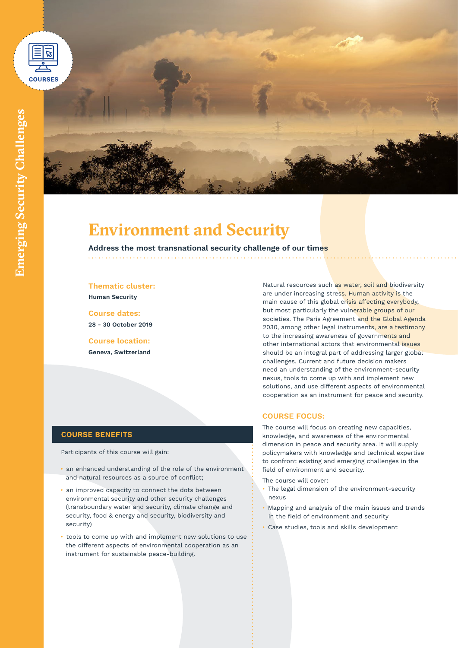

# **Environment and Security**

#### **Address the most transnational security challenge of our times**

**Thematic cluster:**

**Human Security**

**Course dates: 28 - 30 October 2019**

**Course location: Geneva, Switzerland** Natural resources such as water, soil and biodiversity are under increasing stress. Human activity is the main cause of this global crisis affecting everybody, but most particularly the vulnerable groups of our societies. The Paris Agreement and the Global Agenda 2030, among other legal instruments, are a testimony to the increasing awareness of governments and other international actors that environmental issues should be an integral part of addressing larger global challenges. Current and future decision makers need an understanding of the environment-security nexus, tools to come up with and implement new solutions, and use different aspects of environmental cooperation as an instrument for peace and security.

#### **COURSE BENEFITS**

Participants of this course will gain:

- an enhanced understanding of the role of the environment and natural resources as a source of conflict;
- an improved capacity to connect the dots between environmental security and other security challenges (transboundary water and security, climate change and security, food & energy and security, biodiversity and security)
- tools to come up with and implement new solutions to use the different aspects of environmental cooperation as an instrument for sustainable peace-building.

#### **COURSE FOCUS:**

The course will focus on creating new capacities, knowledge, and awareness of the environmental dimension in peace and security area. It will supply policymakers with knowledge and technical expertise to confront existing and emerging challenges in the field of environment and security.

The course will cover:

- The legal dimension of the environment-security nexus
- Mapping and analysis of the main issues and trends in the field of environment and security
- Case studies, tools and skills development